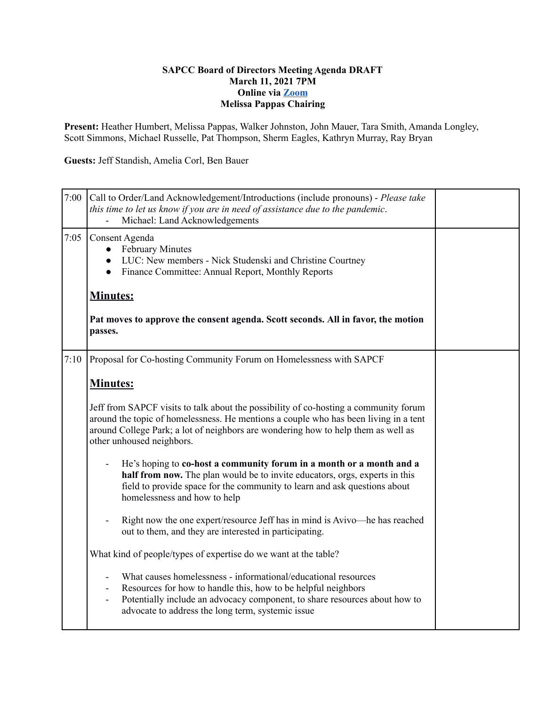## **SAPCC Board of Directors Meeting Agenda DRAFT March 11, 2021 7PM Online via [Zoom](https://zoom.us/j/94313936880?pwd=MVVwU2xGTkJGVE1YM1g2Z2Z5UGhHdz09) Melissa Pappas Chairing**

**Present:** Heather Humbert, Melissa Pappas, Walker Johnston, John Mauer, Tara Smith, Amanda Longley, Scott Simmons, Michael Russelle, Pat Thompson, Sherm Eagles, Kathryn Murray, Ray Bryan

**Guests:** Jeff Standish, Amelia Corl, Ben Bauer

| 7:00 | Call to Order/Land Acknowledgement/Introductions (include pronouns) - Please take<br>this time to let us know if you are in need of assistance due to the pandemic.<br>Michael: Land Acknowledgements<br>$\blacksquare$                                                                                                          |  |
|------|----------------------------------------------------------------------------------------------------------------------------------------------------------------------------------------------------------------------------------------------------------------------------------------------------------------------------------|--|
| 7:05 | Consent Agenda<br><b>February Minutes</b><br>$\bullet$<br>LUC: New members - Nick Studenski and Christine Courtney<br>Finance Committee: Annual Report, Monthly Reports                                                                                                                                                          |  |
|      | <b>Minutes:</b>                                                                                                                                                                                                                                                                                                                  |  |
|      | Pat moves to approve the consent agenda. Scott seconds. All in favor, the motion<br>passes.                                                                                                                                                                                                                                      |  |
| 7:10 | Proposal for Co-hosting Community Forum on Homelessness with SAPCF                                                                                                                                                                                                                                                               |  |
|      | Minutes:                                                                                                                                                                                                                                                                                                                         |  |
|      | Jeff from SAPCF visits to talk about the possibility of co-hosting a community forum<br>around the topic of homelessness. He mentions a couple who has been living in a tent<br>around College Park; a lot of neighbors are wondering how to help them as well as<br>other unhoused neighbors.                                   |  |
|      | He's hoping to co-host a community forum in a month or a month and a<br>half from now. The plan would be to invite educators, orgs, experts in this<br>field to provide space for the community to learn and ask questions about<br>homelessness and how to help                                                                 |  |
|      | Right now the one expert/resource Jeff has in mind is Avivo-he has reached<br>out to them, and they are interested in participating.                                                                                                                                                                                             |  |
|      | What kind of people/types of expertise do we want at the table?                                                                                                                                                                                                                                                                  |  |
|      | What causes homelessness - informational/educational resources<br>$\overline{\phantom{a}}$<br>Resources for how to handle this, how to be helpful neighbors<br>$\overline{\phantom{a}}$<br>Potentially include an advocacy component, to share resources about how to<br>÷,<br>advocate to address the long term, systemic issue |  |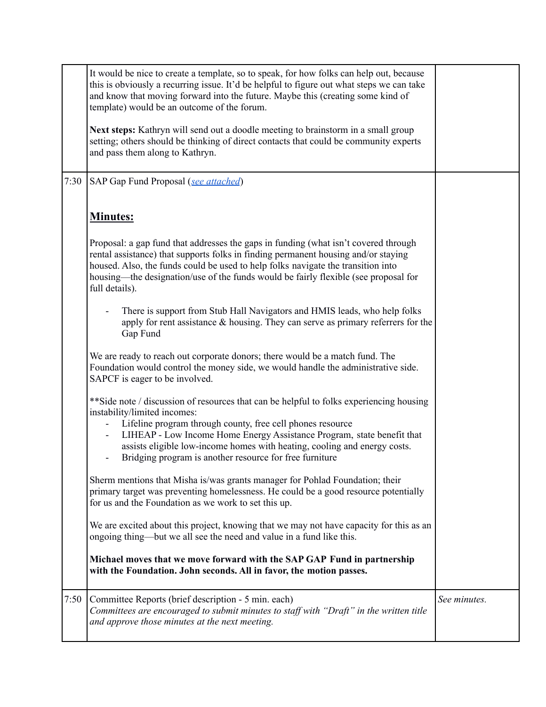|      | It would be nice to create a template, so to speak, for how folks can help out, because<br>this is obviously a recurring issue. It'd be helpful to figure out what steps we can take<br>and know that moving forward into the future. Maybe this (creating some kind of<br>template) would be an outcome of the forum.                                                                                                     |              |
|------|----------------------------------------------------------------------------------------------------------------------------------------------------------------------------------------------------------------------------------------------------------------------------------------------------------------------------------------------------------------------------------------------------------------------------|--------------|
|      | Next steps: Kathryn will send out a doodle meeting to brainstorm in a small group<br>setting; others should be thinking of direct contacts that could be community experts<br>and pass them along to Kathryn.                                                                                                                                                                                                              |              |
| 7:30 | SAP Gap Fund Proposal (see attached)                                                                                                                                                                                                                                                                                                                                                                                       |              |
|      | <b>Minutes:</b>                                                                                                                                                                                                                                                                                                                                                                                                            |              |
|      | Proposal: a gap fund that addresses the gaps in funding (what isn't covered through<br>rental assistance) that supports folks in finding permanent housing and/or staying<br>housed. Also, the funds could be used to help folks navigate the transition into<br>housing—the designation/use of the funds would be fairly flexible (see proposal for<br>full details).                                                     |              |
|      | There is support from Stub Hall Navigators and HMIS leads, who help folks<br>apply for rent assistance $\&$ housing. They can serve as primary referrers for the<br>Gap Fund                                                                                                                                                                                                                                               |              |
|      | We are ready to reach out corporate donors; there would be a match fund. The<br>Foundation would control the money side, we would handle the administrative side.<br>SAPCF is eager to be involved.                                                                                                                                                                                                                        |              |
|      | ** Side note / discussion of resources that can be helpful to folks experiencing housing<br>instability/limited incomes:<br>Lifeline program through county, free cell phones resource<br>LIHEAP - Low Income Home Energy Assistance Program, state benefit that<br>$\blacksquare$<br>assists eligible low-income homes with heating, cooling and energy costs.<br>Bridging program is another resource for free furniture |              |
|      | Sherm mentions that Misha is/was grants manager for Pohlad Foundation; their<br>primary target was preventing homelessness. He could be a good resource potentially<br>for us and the Foundation as we work to set this up.                                                                                                                                                                                                |              |
|      | We are excited about this project, knowing that we may not have capacity for this as an<br>ongoing thing—but we all see the need and value in a fund like this.                                                                                                                                                                                                                                                            |              |
|      | Michael moves that we move forward with the SAP GAP Fund in partnership<br>with the Foundation. John seconds. All in favor, the motion passes.                                                                                                                                                                                                                                                                             |              |
| 7:50 | Committee Reports (brief description - 5 min. each)<br>Committees are encouraged to submit minutes to staff with "Draft" in the written title<br>and approve those minutes at the next meeting.                                                                                                                                                                                                                            | See minutes. |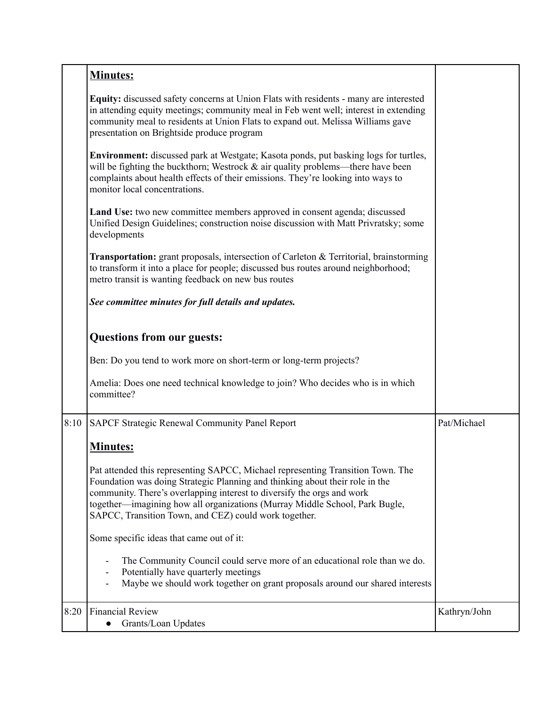|      | <b>Minutes:</b>                                                                                                                                                                                                                                                                                                                                                                   |              |
|------|-----------------------------------------------------------------------------------------------------------------------------------------------------------------------------------------------------------------------------------------------------------------------------------------------------------------------------------------------------------------------------------|--------------|
|      | Equity: discussed safety concerns at Union Flats with residents - many are interested<br>in attending equity meetings; community meal in Feb went well; interest in extending<br>community meal to residents at Union Flats to expand out. Melissa Williams gave<br>presentation on Brightside produce program                                                                    |              |
|      | <b>Environment:</b> discussed park at Westgate; Kasota ponds, put basking logs for turtles,<br>will be fighting the buckthorn; Westrock $\&$ air quality problems—there have been<br>complaints about health effects of their emissions. They're looking into ways to<br>monitor local concentrations.                                                                            |              |
|      | Land Use: two new committee members approved in consent agenda; discussed<br>Unified Design Guidelines; construction noise discussion with Matt Privratsky; some<br>developments                                                                                                                                                                                                  |              |
|      | <b>Transportation:</b> grant proposals, intersection of Carleton & Territorial, brainstorming<br>to transform it into a place for people; discussed bus routes around neighborhood;<br>metro transit is wanting feedback on new bus routes                                                                                                                                        |              |
|      | See committee minutes for full details and updates.                                                                                                                                                                                                                                                                                                                               |              |
|      | <b>Questions from our guests:</b>                                                                                                                                                                                                                                                                                                                                                 |              |
|      | Ben: Do you tend to work more on short-term or long-term projects?                                                                                                                                                                                                                                                                                                                |              |
|      | Amelia: Does one need technical knowledge to join? Who decides who is in which<br>committee?                                                                                                                                                                                                                                                                                      |              |
| 8:10 | SAPCF Strategic Renewal Community Panel Report                                                                                                                                                                                                                                                                                                                                    | Pat/Michael  |
|      | <b>Minutes:</b>                                                                                                                                                                                                                                                                                                                                                                   |              |
|      | Pat attended this representing SAPCC, Michael representing Transition Town. The<br>Foundation was doing Strategic Planning and thinking about their role in the<br>community. There's overlapping interest to diversify the orgs and work<br>together—imagining how all organizations (Murray Middle School, Park Bugle,<br>SAPCC, Transition Town, and CEZ) could work together. |              |
|      | Some specific ideas that came out of it:                                                                                                                                                                                                                                                                                                                                          |              |
|      | The Community Council could serve more of an educational role than we do.<br>$\overline{\phantom{a}}$<br>Potentially have quarterly meetings<br>$\overline{\phantom{a}}$<br>Maybe we should work together on grant proposals around our shared interests                                                                                                                          |              |
| 8:20 | <b>Financial Review</b><br>Grants/Loan Updates                                                                                                                                                                                                                                                                                                                                    | Kathryn/John |